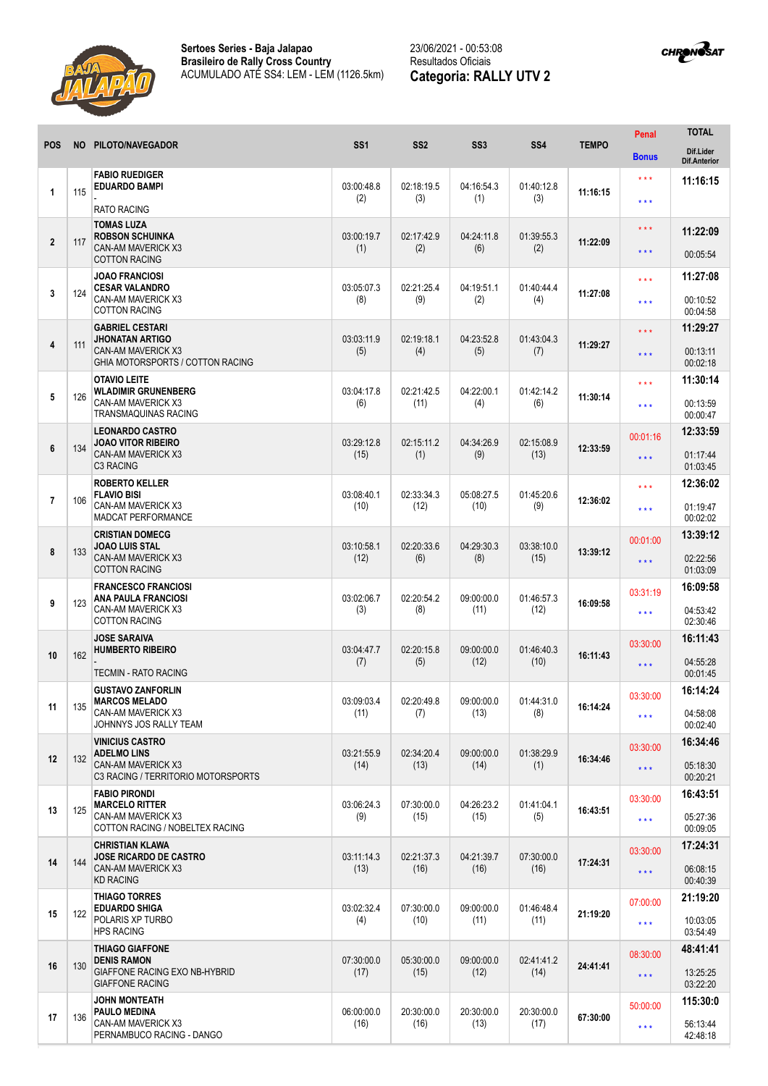

## 23/06/2021 - 00:53:08 Resultados Oficiais **Categoria: RALLY UTV 2**



|                  |           |                                                                                              |                                          |                    |                    |                    |              | Penal                   | <b>TOTAL</b>                     |
|------------------|-----------|----------------------------------------------------------------------------------------------|------------------------------------------|--------------------|--------------------|--------------------|--------------|-------------------------|----------------------------------|
| <b>POS</b>       | <b>NO</b> | PILOTO/NAVEGADOR                                                                             | SS <sub>1</sub>                          | SS <sub>2</sub>    | SS <sub>3</sub>    | SS <sub>4</sub>    | <b>TEMPO</b> | <b>Bonus</b>            | Dif.Lider<br><b>Dif.Anterior</b> |
| 1                | 115       | <b>FABIO RUEDIGER</b><br><b>EDUARDO BAMPI</b>                                                | 03:00:48.8                               | 02:18:19.5<br>(3)  | 04:16:54.3<br>(1)  | 01:40:12.8<br>(3)  | 11:16:15     | $\star$ $\star$ $\star$ | 11:16:15                         |
|                  |           | <b>RATO RACING</b>                                                                           | (2)                                      |                    |                    |                    |              | $***$                   |                                  |
|                  |           | <b>TOMAS LUZA</b>                                                                            |                                          |                    |                    |                    |              | $\star$ $\star$ $\star$ | 11:22:09                         |
| $\overline{2}$   | 117       | <b>ROBSON SCHUINKA</b><br>CAN-AM MAVERICK X3                                                 | 03:00:19.7<br>(1)                        | 02:17:42.9<br>(2)  | 04:24:11.8<br>(6)  | 01:39:55.3<br>(2)  | 11:22:09     | $\star$ $\star$ $\star$ |                                  |
|                  |           | <b>COTTON RACING</b>                                                                         |                                          |                    |                    |                    |              |                         | 00:05:54                         |
| 3                | 124       | <b>JOAO FRANCIOSI</b><br><b>CESAR VALANDRO</b><br>CAN-AM MAVERICK X3<br><b>COTTON RACING</b> | 03:05:07.3<br>(8)                        | 02:21:25.4<br>(9)  | 04:19:51.1<br>(2)  | 01:40:44.4<br>(4)  | 11:27:08     | $***$                   | 11:27:08                         |
|                  |           |                                                                                              |                                          |                    |                    |                    |              | $***$                   | 00:10:52<br>00:04:58             |
|                  |           | <b>GABRIEL CESTARI</b>                                                                       |                                          |                    |                    | 01:43:04.3         |              | $***$                   | 11:29:27                         |
| 4                | 111       | JHONATAN ARTIGO<br>CAN-AM MAVERICK X3                                                        | 03:03:11.9<br>(5)                        | 02:19:18.1<br>(4)  | 04:23:52.8<br>(5)  | (7)                | 11:29:27     | $\star$ $\star$ $\star$ | 00:13:11                         |
|                  |           | GHIA MOTORSPORTS / COTTON RACING<br><b>OTAVIO LEITE</b>                                      |                                          |                    |                    |                    |              |                         | 00:02:18<br>11:30:14             |
| 5                | 126       | <b>WLADIMIR GRUNENBERG</b><br>CAN-AM MAVERICK X3<br><b>TRANSMAQUINAS RACING</b>              | 03:04:17.8<br>(6)                        | 02:21:42.5<br>(11) | 04:22:00.1<br>(4)  | 01:42:14.2<br>(6)  | 11:30:14     | $\star \star \star$     |                                  |
|                  |           |                                                                                              |                                          |                    |                    |                    |              | $***$                   | 00:13:59<br>00:00:47             |
|                  |           | <b>LEONARDO CASTRO</b><br><b>JOAO VITOR RIBEIRO</b>                                          | 03:29:12.8                               | 02:15:11.2         | 04:34:26.9         | 02:15:08.9         |              | 00:01:16                | 12:33:59                         |
| $\boldsymbol{6}$ | 134       | CAN-AM MAVERICK X3<br>C3 RACING                                                              | (15)                                     | (1)                | (9)                | (13)               | 12:33:59     | $***$                   | 01:17:44<br>01:03:45             |
|                  |           | <b>ROBERTO KELLER</b>                                                                        |                                          |                    |                    |                    |              | $***$                   | 12:36:02                         |
| $\overline{7}$   | 106       | <b>FLAVIO BISI</b><br>CAN-AM MAVERICK X3                                                     | 03:08:40.1<br>02:33:34.3<br>(10)<br>(12) |                    | 05:08:27.5<br>(10) | 01:45:20.6<br>(9)  | 12:36:02     |                         | 01:19:47                         |
|                  |           | MADCAT PERFORMANCE                                                                           |                                          |                    |                    |                    | $***$        | 00:02:02                |                                  |
| 8                |           | <b>CRISTIAN DOMECG</b><br><b>JOAO LUIS STAL</b>                                              | 03:10:58.1                               | 02:20:33.6         | 04:29:30.3         | 03:38:10.0         | 13:39:12     | 00:01:00                | 13:39:12                         |
|                  | 133       | CAN-AM MAVERICK X3<br><b>COTTON RACING</b>                                                   | (12)                                     | (6)                | (8)                | (15)               |              | $\star\star\star$       | 02:22:56<br>01:03:09             |
|                  |           | <b>FRANCESCO FRANCIOSI</b>                                                                   |                                          |                    |                    |                    |              | 03:31:19                | 16:09:58                         |
| 9                | 123       | <b>ANA PAULA FRANCIOSI</b><br>CAN-AM MAVERICK X3                                             | 03:02:06.7<br>(3)                        | 02:20:54.2<br>(8)  | 09:00:00.0<br>(11) | 01:46:57.3<br>(12) | 16:09:58     | $***$                   | 04:53:42                         |
|                  |           | <b>COTTON RACING</b>                                                                         |                                          |                    |                    |                    |              |                         | 02:30:46                         |
| 10               | 162       | <b>JOSE SARAIVA</b><br><b>HUMBERTO RIBEIRO</b>                                               | 03:04:47.7                               | 02:20:15.8         | 09:00:00.0         | 01:46:40.3         | 16:11:43     | 03:30:00                | 16:11:43                         |
|                  |           | <b>TECMIN - RATO RACING</b>                                                                  | (7)                                      | (5)                | (12)               | (10)               |              | $***$                   | 04:55:28<br>00:01:45             |
|                  |           | <b>GUSTAVO ZANFORLIN</b><br><b>MARCOS MELADO</b>                                             | 03:09:03.4                               | 02:20:49.8         | 09:00:00.0         | 01:44:31.0         |              | 03:30:00                | 16:14:24                         |
| 11               | 135       | CAN-AM MAVERICK X3                                                                           | (11)                                     | (7)                | (13)               | (8)                | 16:14:24     | $\star$ $\star$ $\star$ | 04:58:08                         |
|                  |           | JOHNNYS JOS RALLY TEAM<br><b>VINICIUS CASTRO</b>                                             |                                          |                    |                    |                    |              |                         | 00:02:40<br>16:34:46             |
| 12               | 132       | <b>ADELMO LINS</b><br>CAN-AM MAVERICK X3                                                     | 03:21:55.9                               | 02:34:20.4         | 09:00:00.0         | 01:38:29.9         | 16:34:46     | 03:30:00                | 05:18:30                         |
|                  |           | C3 RACING / TERRITORIO MOTORSPORTS                                                           | (14)                                     | (13)               | (14)               | (1)                |              | $\star\star\star$       | 00:20:21                         |
|                  |           | <b>FABIO PIRONDI</b><br><b>MARCELO RITTER</b>                                                | 03:06:24.3                               | 07:30:00.0         | 04:26:23.2         | 01:41:04.1         |              | 03:30:00                | 16:43:51                         |
| 13               | 125       | CAN-AM MAVERICK X3<br>COTTON RACING / NOBELTEX RACING                                        | (9)                                      | (15)               | (15)               | (5)                | 16:43:51     | $\star\star\star$       | 05:27:36                         |
|                  |           | <b>CHRISTIAN KLAWA</b>                                                                       |                                          |                    |                    |                    |              |                         | 00:09:05<br>17:24:31             |
| 14               | 144       | <b>JOSE RICARDO DE CASTRO</b><br>CAN-AM MAVERICK X3                                          | 03:11:14.3<br>(13)                       | 02:21:37.3<br>(16) | 04:21:39.7<br>(16) | 07:30:00.0<br>(16) | 17:24:31     | 03:30:00                | 06:08:15                         |
|                  |           | <b>KD RACING</b>                                                                             |                                          |                    |                    |                    |              | $\star\star\star$       | 00:40:39                         |
| 15               | 122       | <b>THIAGO TORRES</b><br><b>EDUARDO SHIGA</b><br>POLARIS XP TURBO<br><b>HPS RACING</b>        | 03:02:32.4<br>(4)                        | 07:30:00.0<br>(10) | 09:00:00.0<br>(11) | 01:46:48.4<br>(11) | 21:19:20     | 07:00:00                | 21:19:20                         |
|                  |           |                                                                                              |                                          |                    |                    |                    |              | $***$                   | 10:03:05<br>03:54:49             |
|                  |           | <b>THIAGO GIAFFONE</b>                                                                       |                                          |                    |                    |                    |              | 08:30:00                | 48:41:41                         |
| 16               | 130       | <b>DENIS RAMON</b><br>GIAFFONE RACING EXO NB-HYBRID                                          | 07:30:00.0<br>(17)                       | 05:30:00.0<br>(15) | 09:00:00.0<br>(12) | 02:41:41.2<br>(14) | 24:41:41     | $\star$ $\star$ $\star$ | 13:25:25                         |
|                  |           | <b>GIAFFONE RACING</b>                                                                       |                                          |                    |                    |                    |              |                         | 03:22:20                         |
| 17               | 136       | <b>JOHN MONTEATH</b><br>PAULO MEDINA<br>CAN-AM MAVERICK X3<br>PERNAMBUCO RACING - DANGO      | 06:00:00.0<br>(16)                       | 20:30:00.0<br>(16) | 20:30:00.0<br>(13) | 20:30:00.0<br>(17) | 67:30:00     | 50:00:00                | 115:30:0                         |
|                  |           |                                                                                              |                                          |                    |                    |                    |              | $\star\star\star$       | 56:13:44<br>42:48:18             |